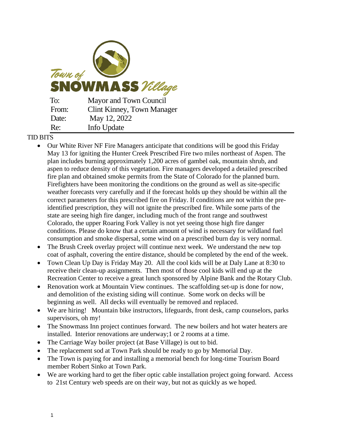

## TID BITS

- Our White River NF Fire Managers anticipate that conditions will be good this Friday May 13 for igniting the Hunter Creek Prescribed Fire two miles northeast of Aspen. The plan includes burning approximately 1,200 acres of gambel oak, mountain shrub, and aspen to reduce density of this vegetation. Fire managers developed a detailed prescribed fire plan and obtained smoke permits from the State of Colorado for the planned burn. Firefighters have been monitoring the conditions on the ground as well as site-specific weather forecasts very carefully and if the forecast holds up they should be within all the correct parameters for this prescribed fire on Friday. If conditions are not within the preidentified prescription, they will not ignite the prescribed fire. While some parts of the state are seeing high fire danger, including much of the front range and southwest Colorado, the upper Roaring Fork Valley is not yet seeing those high fire danger conditions. Please do know that a certain amount of wind is necessary for wildland fuel consumption and smoke dispersal, some wind on a prescribed burn day is very normal.
- The Brush Creek overlay project will continue next week. We understand the new top coat of asphalt, covering the entire distance, should be completed by the end of the week.
- Town Clean Up Day is Friday May 20. All the cool kids will be at Daly Lane at 8:30 to receive their clean-up assignments. Then most of those cool kids will end up at the Recreation Center to receive a great lunch sponsored by Alpine Bank and the Rotary Club.
- Renovation work at Mountain View continues. The scaffolding set-up is done for now, and demolition of the existing siding will continue. Some work on decks will be beginning as well. All decks will eventually be removed and replaced.
- We are hiring! Mountain bike instructors, lifeguards, front desk, camp counselors, parks supervisors, oh my!
- The Snowmass Inn project continues forward. The new boilers and hot water heaters are installed. Interior renovations are underway;1 or 2 rooms at a time.
- The Carriage Way boiler project (at Base Village) is out to bid.
- The replacement sod at Town Park should be ready to go by Memorial Day.
- The Town is paying for and installing a memorial bench for long-time Tourism Board member Robert Sinko at Town Park.
- We are working hard to get the fiber optic cable installation project going forward. Access to 21st Century web speeds are on their way, but not as quickly as we hoped.